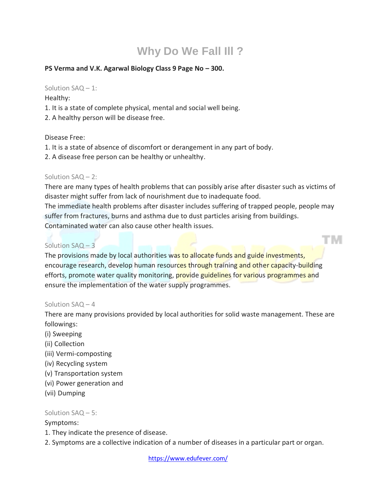# **Why Do We Fall Ill ?**

## **PS Verma and V.K. Agarwal Biology Class 9 Page No – 300.**

#### Solution SAQ – 1:

Healthy:

- 1. It is a state of complete physical, mental and social well being.
- 2. A healthy person will be disease free.

#### Disease Free:

- 1. It is a state of absence of discomfort or derangement in any part of body.
- 2. A disease free person can be healthy or unhealthy.

## Solution SAQ – 2:

There are many types of health problems that can possibly arise after disaster such as victims of disaster might suffer from lack of nourishment due to inadequate food. The immediate health problems after disaster includes suffering of trapped people, people may suffer from fractures, burns and asthma due to dust particles arising from buildings.

TNI

Contaminated water can also cause other health issues.

# Solution SAQ – 3

The provisions made by local authorities was to allocate funds and guide investments, encourage research, develop human resources through training and other capacity-building efforts, promote water quality monitoring, provide guidelines for various programmes and ensure the implementation of the water supply programmes.

## Solution SAQ – 4

There are many provisions provided by local authorities for solid waste management. These are followings:

- (i) Sweeping
- (ii) Collection
- (iii) Vermi-composting
- (iv) Recycling system
- (v) Transportation system
- (vi) Power generation and
- (vii) Dumping

## Solution SAQ – 5:

## Symptoms:

- 1. They indicate the presence of disease.
- 2. Symptoms are a collective indication of a number of diseases in a particular part or organ.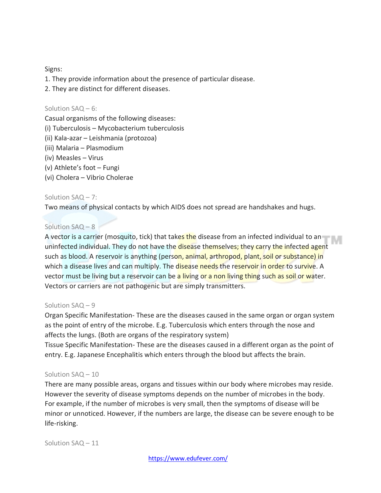Signs:

- 1. They provide information about the presence of particular disease.
- 2. They are distinct for different diseases.

#### Solution SAQ – 6:

Casual organisms of the following diseases:

- (i) Tuberculosis Mycobacterium tuberculosis
- (ii) Kala-azar Leishmania (protozoa)
- (iii) Malaria Plasmodium
- (iv) Measles Virus
- (v) Athlete's foot Fungi
- (vi) Cholera Vibrio Cholerae

## Solution SAQ – 7:

Two means of physical contacts by which AIDS does not spread are handshakes and hugs.

## Solution SAQ – 8

A vector is a carrier (mosquito, tick) that takes the disease from an infected individual to an uninfected individual. They do not have the disease themselves; they carry the infected agent such as blood. A reservoir is anything (person, animal, arthropod, plant, soil or substance) in which a disease lives and can multiply. The disease needs the reservoir in order to survive. A vector must be living but a reservoir can be a living or a non living thing such as soil or water. Vectors or carriers are not pathogenic but are simply transmitters.

## Solution SAQ – 9

Organ Specific Manifestation- These are the diseases caused in the same organ or organ system as the point of entry of the microbe. E.g. Tuberculosis which enters through the nose and affects the lungs. (Both are organs of the respiratory system)

Tissue Specific Manifestation- These are the diseases caused in a different organ as the point of entry. E.g. Japanese Encephalitis which enters through the blood but affects the brain.

## Solution SAQ – 10

There are many possible areas, organs and tissues within our body where microbes may reside. However the severity of disease symptoms depends on the number of microbes in the body. For example, if the number of microbes is very small, then the symptoms of disease will be minor or unnoticed. However, if the numbers are large, the disease can be severe enough to be life-risking.

Solution SAQ – 11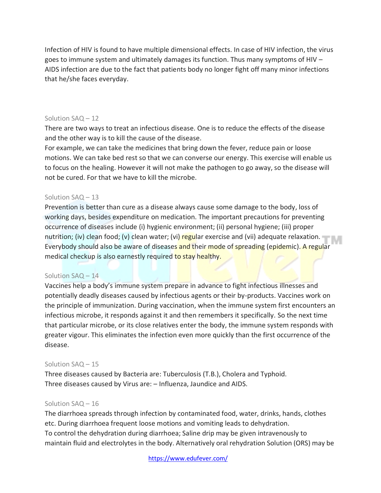Infection of HIV is found to have multiple dimensional effects. In case of HIV infection, the virus goes to immune system and ultimately damages its function. Thus many symptoms of HIV – AIDS infection are due to the fact that patients body no longer fight off many minor infections that he/she faces everyday.

#### Solution SAQ – 12

There are two ways to treat an infectious disease. One is to reduce the effects of the disease and the other way is to kill the cause of the disease.

For example, we can take the medicines that bring down the fever, reduce pain or loose motions. We can take bed rest so that we can converse our energy. This exercise will enable us to focus on the healing. However it will not make the pathogen to go away, so the disease will not be cured. For that we have to kill the microbe.

#### Solution SAQ – 13

Prevention is better than cure as a disease always cause some damage to the body, loss of working days, besides expenditure on medication. The important precautions for preventing occurrence of diseases include (i) hygienic environment; (ii) personal hygiene; (iii) proper nutrition; (iv) clean food; (v) clean water; (vi) regular exercise and (vii) adequate relaxation. Everybody should also be aware of diseases and their mode of spreading (epidemic). A regular medical checkup is also earnestly required to stay healthy.

## Solution SAQ – 14

Vaccines help a body's immune system prepare in advance to fight infectious illnesses and potentially deadly diseases caused by infectious agents or their by-products. Vaccines work on the principle of immunization. During vaccination, when the immune system first encounters an infectious microbe, it responds against it and then remembers it specifically. So the next time that particular microbe, or its close relatives enter the body, the immune system responds with greater vigour. This eliminates the infection even more quickly than the first occurrence of the disease.

#### Solution SAQ – 15

Three diseases caused by Bacteria are: Tuberculosis (T.B.), Cholera and Typhoid. Three diseases caused by Virus are: – Influenza, Jaundice and AIDS.

#### Solution SAQ – 16

The diarrhoea spreads through infection by contaminated food, water, drinks, hands, clothes etc. During diarrhoea frequent loose motions and vomiting leads to dehydration. To control the dehydration during diarrhoea; Saline drip may be given intravenously to maintain fluid and electrolytes in the body. Alternatively oral rehydration Solution (ORS) may be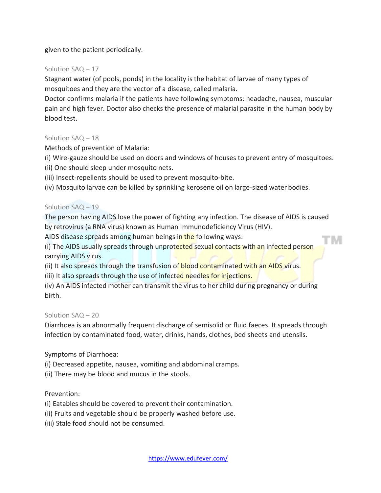given to the patient periodically.

## Solution SAQ – 17

Stagnant water (of pools, ponds) in the locality is the habitat of larvae of many types of mosquitoes and they are the vector of a disease, called malaria.

Doctor confirms malaria if the patients have following symptoms: headache, nausea, muscular pain and high fever. Doctor also checks the presence of malarial parasite in the human body by blood test.

## Solution SAQ – 18

Methods of prevention of Malaria:

(i) Wire-gauze should be used on doors and windows of houses to prevent entry ofmosquitoes.

(ii) One should sleep under mosquito nets.

(iii) Insect-repellents should be used to prevent mosquito-bite.

(iv) Mosquito larvae can be killed by sprinkling kerosene oil on large-sized water bodies.

## Solution SAQ – 19

The person having AIDS lose the power of fighting any infection. The disease of AIDS is caused by retrovirus (a RNA virus) known as Human Immunodeficiency Virus (HIV).

TM

AIDS disease spreads among human beings in the following ways:

(i) The AIDS usually spreads through unprotected sexual contacts with an infected person carrying AIDS virus.

(ii) It also spreads through the transfusion of **blood contaminated with an AIDS virus.** 

(iii) It also spreads through the use of infected needles for injections.

(iv) An AIDS infected mother can transmit the virus to her child during pregnancy or during birth.

# Solution SAQ – 20

Diarrhoea is an abnormally frequent discharge of semisolid or fluid faeces. It spreads through infection by contaminated food, water, drinks, hands, clothes, bed sheets and utensils.

Symptoms of Diarrhoea:

(i) Decreased appetite, nausea, vomiting and abdominal cramps.

(ii) There may be blood and mucus in the stools.

# Prevention:

(i) Eatables should be covered to prevent their contamination.

(ii) Fruits and vegetable should be properly washed before use.

(iii) Stale food should not be consumed.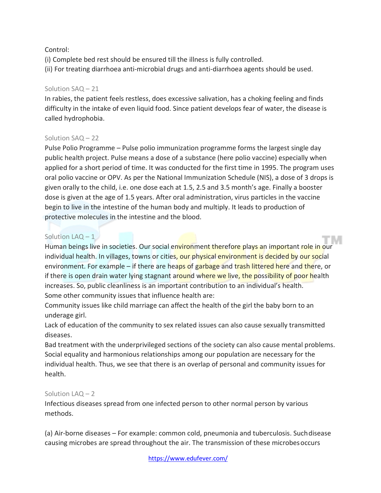## Control:

(i) Complete bed rest should be ensured till the illness is fully controlled. (ii) For treating diarrhoea anti-microbial drugs and anti-diarrhoea agents should be used.

## Solution SAQ – 21

In rabies, the patient feels restless, does excessive salivation, has a choking feeling and finds difficulty in the intake of even liquid food. Since patient develops fear of water, the disease is called hydrophobia.

## Solution SAQ – 22

Pulse Polio Programme – Pulse polio immunization programme forms the largest single day public health project. Pulse means a dose of a substance (here polio vaccine) especially when applied for a short period of time. It was conducted for the first time in 1995. The program uses oral polio vaccine or OPV. As per the National Immunization Schedule (NIS), a dose of 3 drops is given orally to the child, i.e. one dose each at 1.5, 2.5 and 3.5 month's age. Finally a booster dose is given at the age of 1.5 years. After oral administration, virus particles in the vaccine begin to live in the intestine of the human body and multiply. It leads to production of protective molecules in the intestine and the blood.

## Solution LAQ - 1

Human beings live in societies. Our social environment therefore plays an important role in our individual health. In villages, towns or cities, our physical environment is decided by our social environment. For example – if there are heaps of garbage and trash littered here and there, or if there is open drain water lying stagnant around where we live, the possibility of poor health increases. So, public cleanliness is an important contribution to an individual's health. Some other community issues that influence health are:

Community issues like child marriage can affect the health of the girl the baby born to an underage girl.

Lack of education of the community to sex related issues can also cause sexually transmitted diseases.

Bad treatment with the underprivileged sections of the society can also cause mental problems. Social equality and harmonious relationships among our population are necessary for the individual health. Thus, we see that there is an overlap of personal and community issues for health.

## Solution  $LAQ - 2$

Infectious diseases spread from one infected person to other normal person by various methods.

(a) Air-borne diseases – For example: common cold, pneumonia and tuberculosis. Suchdisease causing microbes are spread throughout the air. The transmission of these microbesoccurs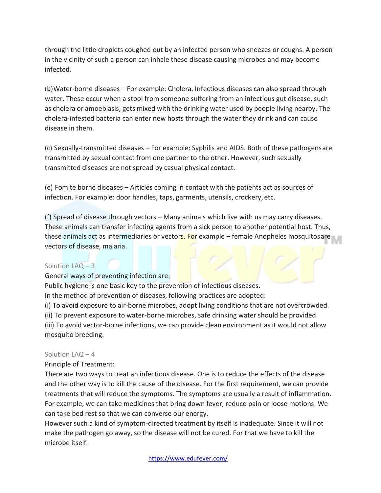through the little droplets coughed out by an infected person who sneezes or coughs. A person in the vicinity of such a person can inhale these disease causing microbes and may become infected.

(b)Water-borne diseases – For example: Cholera, Infectious diseases can also spread through water. These occur when a stool from someone suffering from an infectious gut disease, such as cholera or amoebiasis, gets mixed with the drinking water used by people living nearby. The cholera-infested bacteria can enter new hosts through the water they drink and can cause disease in them.

(c) Sexually-transmitted diseases – For example: Syphilis and AIDS. Both of these pathogensare transmitted by sexual contact from one partner to the other. However, such sexually transmitted diseases are not spread by casual physical contact.

(e) Fomite borne diseases – Articles coming in contact with the patients act as sources of infection. For example: door handles, taps, garments, utensils, crockery, etc.

(f) Spread of disease through vectors – Many animals which live with us may carry diseases. These animals can transfer infecting agents from a sick person to another potential host. Thus, these animals act as intermediaries or vectors. For example – female Anopheles mosquitosare vectors of disease, malaria.

## Solution LAQ – 3

General ways of preventing infection are:

Public hygiene is one basic key to the prevention of infectious diseases.

In the method of prevention of diseases, following practices are adopted:

(i) To avoid exposure to air-borne microbes, adopt living conditions that are not overcrowded.

(ii) To prevent exposure to water-borne microbes, safe drinking water should be provided.

(iii) To avoid vector-borne infections, we can provide clean environment as it would not allow mosquito breeding.

## Solution LAQ – 4

Principle of Treatment:

There are two ways to treat an infectious disease. One is to reduce the effects of the disease and the other way is to kill the cause of the disease. For the first requirement, we can provide treatments that will reduce the symptoms. The symptoms are usually a result of inflammation. For example, we can take medicines that bring down fever, reduce pain or loose motions. We can take bed rest so that we can converse our energy.

However such a kind of symptom-directed treatment by itself is inadequate. Since it will not make the pathogen go away, so the disease will not be cured. For that we have to kill the microbe itself.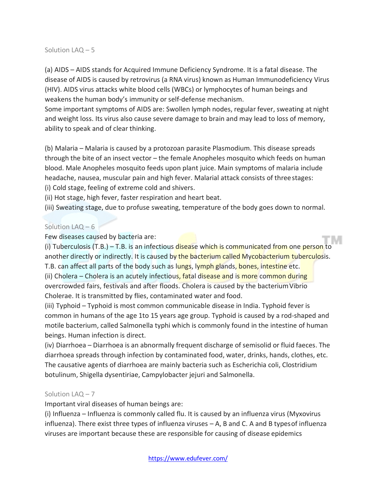#### Solution LAQ – 5

(a) AIDS – AIDS stands for Acquired Immune Deficiency Syndrome. It is a fatal disease. The disease of AIDS is caused by retrovirus (a RNA virus) known as Human Immunodeficiency Virus (HIV). AIDS virus attacks white blood cells (WBCs) or lymphocytes of human beings and weakens the human body's immunity or self-defense mechanism.

Some important symptoms of AIDS are: Swollen lymph nodes, regular fever, sweating at night and weight loss. Its virus also cause severe damage to brain and may lead to loss of memory, ability to speak and of clear thinking.

(b) Malaria – Malaria is caused by a protozoan parasite Plasmodium. This disease spreads through the bite of an insect vector – the female Anopheles mosquito which feeds on human blood. Male Anopheles mosquito feeds upon plant juice. Main symptoms of malaria include headache, nausea, muscular pain and high fever. Malarial attack consists of threestages: (i) Cold stage, feeling of extreme cold and shivers.

(ii) Hot stage, high fever, faster respiration and heart beat.

(iii) Sweating stage, due to profuse sweating, temperature of the body goes down to normal.

#### Solution LAQ – 6

Few diseases caused by bacteria are:

(i) Tuberculosis (T.B.) – T.B. is an infectious disease which is communicated from one person to another directly or indirectly. It is caused by the bacterium called Mycobacterium tuberculosis. T.B. can affect all parts of the body such as lungs, lymph glands, bones, intestine etc. (ii) Cholera – Cholera is an acutely infectious, fatal disease and is more common during overcrowded fairs, festivals and after floods. Cholera is caused by the bacteriumVibrio Cholerae. It is transmitted by flies, contaminated water and food.

(iii) Typhoid – Typhoid is most common communicable disease in India. Typhoid fever is common in humans of the age 1to 15 years age group. Typhoid is caused by a rod-shaped and motile bacterium, called Salmonella typhi which is commonly found in the intestine of human beings. Human infection is direct.

(iv) Diarrhoea – Diarrhoea is an abnormally frequent discharge of semisolid or fluid faeces. The diarrhoea spreads through infection by contaminated food, water, drinks, hands, clothes, etc. The causative agents of diarrhoea are mainly bacteria such as Escherichia coli, Clostridium botulinum, Shigella dysentiriae, Campylobacter jejuri and Salmonella.

#### Solution LAQ – 7

Important viral diseases of human beings are:

(i) Influenza – Influenza is commonly called flu. It is caused by an influenza virus (Myxovirus influenza). There exist three types of influenza viruses – A, B and C. A and B typesof influenza viruses are important because these are responsible for causing of disease epidemics